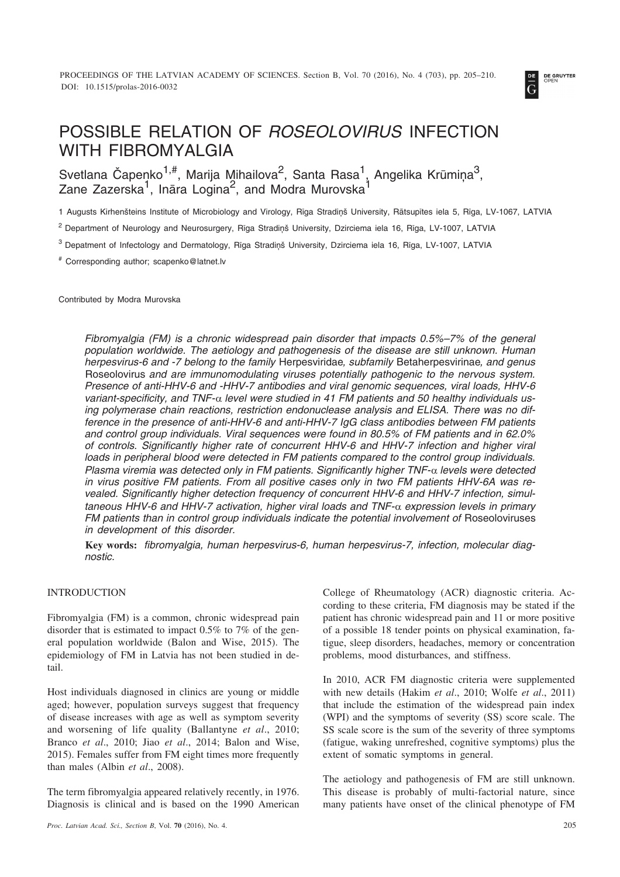

# POSSIBLE RELATION OF *ROSEOLOVIRUS* INFECTION WITH FIBROMYALGIA

Svetlana Čapenko $^{1,\text{\#}}$ , Marija Mihailova $^2$ , Santa Rasa $^1$ , Angelika Krūmiņa $^3$ , Zane Zazerska $^1$ , Ināra Logina $^2$ , and Modra Murovska $^1$ 

1 Augusts Kirhenšteins Institute of Microbiology and Virology, Rīga Stradiņš University, Rātsupītes iela 5, Rīga, LV-1067, LATVIA

<sup>2</sup> Department of Neurology and Neurosurgery, Rīga Stradiņš University, Dzirciema iela 16, Rīga, LV-1007, LATVIA

<sup>3</sup> Depatment of Infectology and Dermatology, Rīga Stradiņš University, Dzirciema iela 16, Rīga, LV-1007, LATVIA

# Corresponding author; scapenko@latnet.lv

Contributed by Modra Murovska

*Fibromyalgia (FM) is a chronic widespread pain disorder that impacts 0.5%–7% of the general population worldwide. The aetiology and pathogenesis of the disease are still unknown. Human herpesvirus-6 and -7 belong to the family* Herpesviridae*, subfamily* Betaherpesvirinae*, and genus* Roseolovirus *and are immunomodulating viruses potentially pathogenic to the nervous system. Presence of anti-HHV-6 and -HHV-7 antibodies and viral genomic sequences, viral loads, HHV-6* variant-specificity, and TNF-α level were studied in 41 FM patients and 50 healthy individuals us*ing polymerase chain reactions, restriction endonuclease analysis and ELISA. There was no difference in the presence of anti-HHV-6 and anti-HHV-7 IgG class antibodies between FM patients and control group individuals. Viral sequences were found in 80.5% of FM patients and in 62.0% of controls. Significantly higher rate of concurrent HHV-6 and HHV-7 infection and higher viral loads in peripheral blood were detected in FM patients compared to the control group individuals. Plasma viremia was detected only in FM patients. Significantly higher TNF-- levels were detected in virus positive FM patients. From all positive cases only in two FM patients HHV-6A was revealed. Significantly higher detection frequency of concurrent HHV-6 and HHV-7 infection, simultaneous HHV-6 and HHV-7 activation, higher viral loads and TNF-- expression levels in primary FM patients than in control group individuals indicate the potential involvement of* Roseoloviruses *in development of this disorder.*

**Key words:** *fibromyalgia, human herpesvirus-6, human herpesvirus-7, infection, molecular diagnostic.*

#### INTRODUCTION

Fibromyalgia (FM) is a common, chronic widespread pain disorder that is estimated to impact 0.5% to 7% of the general population worldwide (Balon and Wise, 2015). The epidemiology of FM in Latvia has not been studied in detail.

Host individuals diagnosed in clinics are young or middle aged; however, population surveys suggest that frequency of disease increases with age as well as symptom severity and worsening of life quality (Ballantyne *et al*., 2010; Branco *et al*., 2010; Jiao *et al*., 2014; Balon and Wise, 2015). Females suffer from FM eight times more frequently than males (Albin *et al*., 2008).

The term fibromyalgia appeared relatively recently, in 1976. Diagnosis is clinical and is based on the 1990 American

College of Rheumatology (ACR) diagnostic criteria. According to these criteria, FM diagnosis may be stated if the patient has chronic widespread pain and 11 or more positive of a possible 18 tender points on physical examination, fatigue, sleep disorders, headaches, memory or concentration problems, mood disturbances, and stiffness.

In 2010, ACR FM diagnostic criteria were supplemented with new details (Hakim *et al*., 2010; Wolfe *et al*., 2011) that include the estimation of the widespread pain index (WPI) and the symptoms of severity (SS) score scale. The SS scale score is the sum of the severity of three symptoms (fatigue, waking unrefreshed, cognitive symptoms) plus the extent of somatic symptoms in general.

The aetiology and pathogenesis of FM are still unknown. This disease is probably of multi-factorial nature, since many patients have onset of the clinical phenotype of FM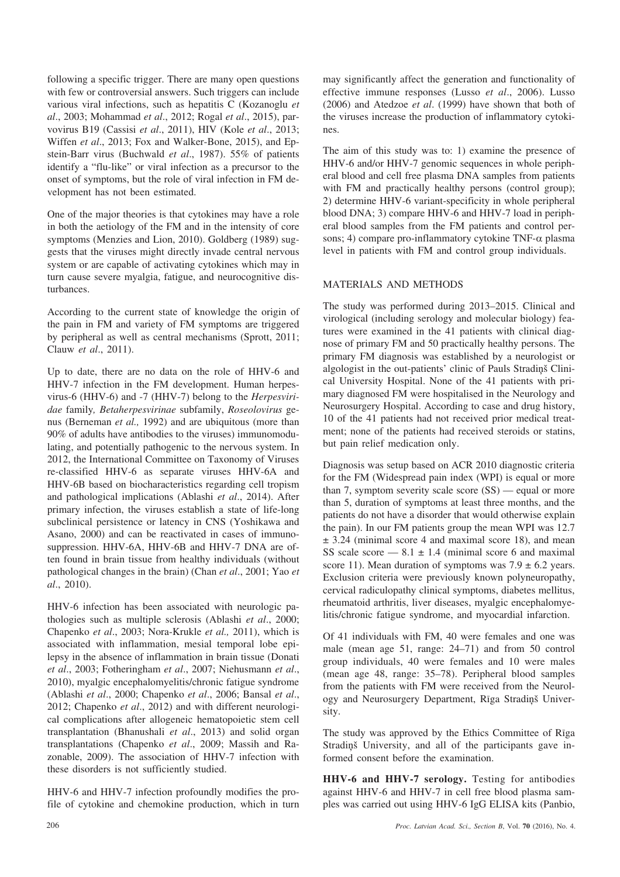following a specific trigger. There are many open questions with few or controversial answers. Such triggers can include various viral infections, such as hepatitis C (Kozanoglu *et al*., 2003; Mohammad *et al*., 2012; Rogal *et al*., 2015), parvovirus B19 (Cassisi *et al*., 2011), HIV (Kole *et al*., 2013; Wiffen *et al*., 2013; Fox and Walker-Bone, 2015), and Epstein-Barr virus (Buchwald *et al*., 1987). 55% of patients identify a "flu-like" or viral infection as a precursor to the onset of symptoms, but the role of viral infection in FM development has not been estimated.

One of the major theories is that cytokines may have a role in both the aetiology of the FM and in the intensity of core symptoms (Menzies and Lion, 2010). Goldberg (1989) suggests that the viruses might directly invade central nervous system or are capable of activating cytokines which may in turn cause severe myalgia, fatigue, and neurocognitive disturbances.

According to the current state of knowledge the origin of the pain in FM and variety of FM symptoms are triggered by peripheral as well as central mechanisms (Sprott, 2011; Clauw *et al*., 2011).

Up to date, there are no data on the role of HHV-6 and HHV-7 infection in the FM development. Human herpesvirus-6 (HHV-6) and -7 (HHV-7) belong to the *Herpesviridae* family*, Betaherpesvirinae* subfamily, *Roseolovirus* genus (Berneman *et al.,* 1992) and are ubiquitous (more than 90% of adults have antibodies to the viruses) immunomodulating, and potentially pathogenic to the nervous system. In 2012, the International Committee on Taxonomy of Viruses re-classified HHV-6 as separate viruses HHV-6A and HHV-6B based on biocharacteristics regarding cell tropism and pathological implications (Ablashi *et al*., 2014). After primary infection, the viruses establish a state of life-long subclinical persistence or latency in CNS (Yoshikawa and Asano, 2000) and can be reactivated in cases of immunosuppression. HHV-6A, HHV-6B and HHV-7 DNA are often found in brain tissue from healthy individuals (without pathological changes in the brain) (Chan *et al*., 2001; Yao *et al*., 2010).

HHV-6 infection has been associated with neurologic pathologies such as multiple sclerosis (Ablashi *et al*., 2000; Chapenko *et al*., 2003; Nora-Krukle *et al.,* 2011), which is associated with inflammation, mesial temporal lobe epilepsy in the absence of inflammation in brain tissue (Donati *et al*., 2003; Fotheringham *et al*., 2007; Niehusmann *et al*., 2010), myalgic encephalomyelitis/chronic fatigue syndrome (Ablashi *et al*., 2000; Chapenko *et al*., 2006; Bansal *et al*., 2012; Chapenko *et al*., 2012) and with different neurological complications after allogeneic hematopoietic stem cell transplantation (Bhanushali *et al*., 2013) and solid organ transplantations (Chapenko *et al*., 2009; Massih and Razonable, 2009). The association of HHV-7 infection with these disorders is not sufficiently studied.

HHV-6 and HHV-7 infection profoundly modifies the profile of cytokine and chemokine production, which in turn may significantly affect the generation and functionality of effective immune responses (Lusso *et al*., 2006). Lusso (2006) and Atedzoe *et al*. (1999) have shown that both of the viruses increase the production of inflammatory cytokines.

The aim of this study was to: 1) examine the presence of HHV-6 and/or HHV-7 genomic sequences in whole peripheral blood and cell free plasma DNA samples from patients with FM and practically healthy persons (control group); 2) determine HHV-6 variant-specificity in whole peripheral blood DNA; 3) compare HHV-6 and HHV-7 load in peripheral blood samples from the FM patients and control persons; 4) compare pro-inflammatory cytokine  $TNF-\alpha$  plasma level in patients with FM and control group individuals.

# MATERIALS AND METHODS

The study was performed during 2013–2015. Clinical and virological (including serology and molecular biology) features were examined in the 41 patients with clinical diagnose of primary FM and 50 practically healthy persons. The primary FM diagnosis was established by a neurologist or algologist in the out-patients' clinic of Pauls Stradinš Clinical University Hospital. None of the 41 patients with primary diagnosed FM were hospitalised in the Neurology and Neurosurgery Hospital. According to case and drug history, 10 of the 41 patients had not received prior medical treatment; none of the patients had received steroids or statins, but pain relief medication only.

Diagnosis was setup based on ACR 2010 diagnostic criteria for the FM (Widespread pain index (WPI) is equal or more than 7, symptom severity scale score (SS) — equal or more than 5, duration of symptoms at least three months, and the patients do not have a disorder that would otherwise explain the pain). In our FM patients group the mean WPI was 12.7  $± 3.24$  (minimal score 4 and maximal score 18), and mean SS scale score  $-8.1 \pm 1.4$  (minimal score 6 and maximal score 11). Mean duration of symptoms was  $7.9 \pm 6.2$  years. Exclusion criteria were previously known polyneuropathy, cervical radiculopathy clinical symptoms, diabetes mellitus, rheumatoid arthritis, liver diseases, myalgic encephalomyelitis/chronic fatigue syndrome, and myocardial infarction.

Of 41 individuals with FM, 40 were females and one was male (mean age 51, range: 24–71) and from 50 control group individuals, 40 were females and 10 were males (mean age 48, range: 35–78). Peripheral blood samples from the patients with FM were received from the Neurology and Neurosurgery Department, Rīga Stradiņš University.

The study was approved by the Ethics Committee of Rîga Stradinš University, and all of the participants gave informed consent before the examination.

**HHV-6 and HHV-7 serology.** Testing for antibodies against HHV-6 and HHV-7 in cell free blood plasma samples was carried out using HHV-6 IgG ELISA kits (Panbio,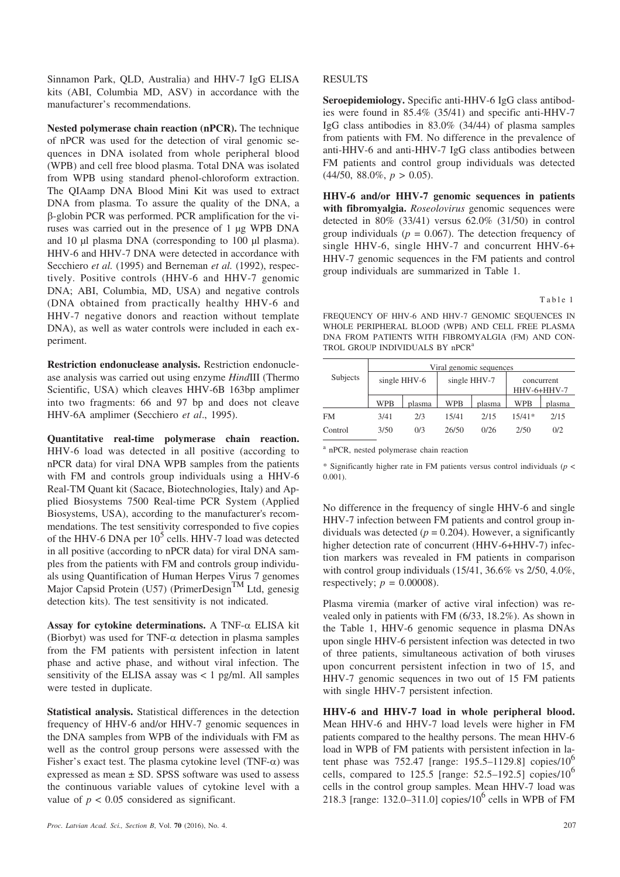Sinnamon Park, QLD, Australia) and HHV-7 IgG ELISA kits (ABI, Columbia MD, ASV) in accordance with the manufacturer's recommendations.

**Nested polymerase chain reaction (nPCR).** The technique of nPCR was used for the detection of viral genomic sequences in DNA isolated from whole peripheral blood (WPB) and cell free blood plasma. Total DNA was isolated from WPB using standard phenol-chloroform extraction. The QIAamp DNA Blood Mini Kit was used to extract DNA from plasma. To assure the quality of the DNA, a -globin PCR was performed. PCR amplification for the viruses was carried out in the presence of 1 µg WPB DNA and 10 µl plasma DNA (corresponding to 100 µl plasma). HHV-6 and HHV-7 DNA were detected in accordance with Secchiero *et al.* (1995) and Berneman *et al.* (1992), respectively. Positive controls (HHV-6 and HHV-7 genomic DNA; ABI, Columbia, MD, USA) and negative controls (DNA obtained from practically healthy HHV-6 and HHV-7 negative donors and reaction without template DNA), as well as water controls were included in each experiment.

**Restriction endonuclease analysis.** Restriction endonuclease analysis was carried out using enzyme *Hind*III (Thermo Scientific, USA) which cleaves HHV-6B 163bp amplimer into two fragments: 66 and 97 bp and does not cleave HHV-6A amplimer **(**Secchiero *et al*., 1995).

**Quantitative real-time polymerase chain reaction.** HHV-6 load was detected in all positive (according to nPCR data) for viral DNA WPB samples from the patients with FM and controls group individuals using a HHV-6 Real-TM Quant kit (Sacace, Biotechnologies, Italy) and Applied Biosystems 7500 Real-time PCR System (Applied Biosystems, USA), according to the manufacturer's recommendations. The test sensitivity corresponded to five copies of the HHV-6 DNA per  $10^5$  cells. HHV-7 load was detected in all positive (according to nPCR data) for viral DNA samples from the patients with FM and controls group individuals using Quantification of Human Herpes Virus 7 genomes Major Capsid Protein (U57) (PrimerDesign<sup>TM</sup> Ltd, genesig detection kits). The test sensitivity is not indicated.

Assay for cytokine determinations. A TNF- $\alpha$  ELISA kit (Biorbyt) was used for TNF- $\alpha$  detection in plasma samples from the FM patients with persistent infection in latent phase and active phase, and without viral infection. The sensitivity of the ELISA assay was  $< 1$  pg/ml. All samples were tested in duplicate.

**Statistical analysis.** Statistical differences in the detection frequency of HHV-6 and/or HHV-7 genomic sequences in the DNA samples from WPB of the individuals with FM as well as the control group persons were assessed with the Fisher's exact test. The plasma cytokine level (TNF- $\alpha$ ) was expressed as mean ± SD. SPSS software was used to assess the continuous variable values of cytokine level with a value of  $p < 0.05$  considered as significant.

# RESULTS

**Seroepidemiology.** Specific anti-HHV-6 IgG class antibodies were found in 85.4% (35/41) and specific anti-HHV-7 IgG class antibodies in 83.0% (34/44) of plasma samples from patients with FM. No difference in the prevalence of anti-HHV-6 and anti-HHV-7 IgG class antibodies between FM patients and control group individuals was detected  $(44/50, 88.0\%, p > 0.05)$ .

**HHV-6 and/or HHV-7 genomic sequences in patients with fibromyalgia.** *Roseolovirus* genomic sequences were detected in 80% (33/41) versus 62.0% (31/50) in control group individuals ( $p = 0.067$ ). The detection frequency of single HHV-6, single HHV-7 and concurrent HHV-6+ HHV-7 genomic sequences in the FM patients and control group individuals are summarized in Table 1.

Table 1

FREQUENCY OF HHV-6 AND HHV-7 GENOMIC SEQUENCES IN WHOLE PERIPHERAL BLOOD (WPB) AND CELL FREE PLASMA DNA FROM PATIENTS WITH FIBROMYALGIA (FM) AND CON-TROL GROUP INDIVIDUALS BY nPCR<sup>a</sup>

| Subjects | Viral genomic sequences |        |              |        |                           |        |
|----------|-------------------------|--------|--------------|--------|---------------------------|--------|
|          | single HHV-6            |        | single HHV-7 |        | concurrent<br>HHV-6+HHV-7 |        |
|          | WPB                     | plasma | <b>WPB</b>   | plasma | <b>WPB</b>                | plasma |
| FM       | 3/41                    | 2/3    | 15/41        | 2/15   | $15/41*$                  | 2/15   |
| Control  | 3/50                    | 0/3    | 26/50        | 0/26   | 2/50                      | 0/2    |

<sup>a</sup> nPCR, nested polymerase chain reaction

\* Significantly higher rate in FM patients versus control individuals (*p* < 0.001).

No difference in the frequency of single HHV-6 and single HHV-7 infection between FM patients and control group individuals was detected  $(p = 0.204)$ . However, a significantly higher detection rate of concurrent (HHV-6+HHV-7) infection markers was revealed in FM patients in comparison with control group individuals (15/41, 36.6% vs 2/50, 4.0%, respectively;  $p = 0.00008$ ).

Plasma viremia (marker of active viral infection) was revealed only in patients with FM (6/33, 18.2%). As shown in the Table 1, HHV-6 genomic sequence in plasma DNAs upon single HHV-6 persistent infection was detected in two of three patients, simultaneous activation of both viruses upon concurrent persistent infection in two of 15, and HHV-7 genomic sequences in two out of 15 FM patients with single HHV-7 persistent infection.

**HHV-6 and HHV-7 load in whole peripheral blood.** Mean HHV-6 and HHV-7 load levels were higher in FM patients compared to the healthy persons. The mean HHV-6 load in WPB of FM patients with persistent infection in latent phase was 752.47 [range: 195.5–1129.8] copies/10<sup>6</sup> cells, compared to 125.5 [range:  $52.5-192.5$ ] copies/10<sup>6</sup> cells in the control group samples. Mean HHV-7 load was 218.3 [range: 132.0–311.0] copies/10<sup>6</sup> cells in WPB of FM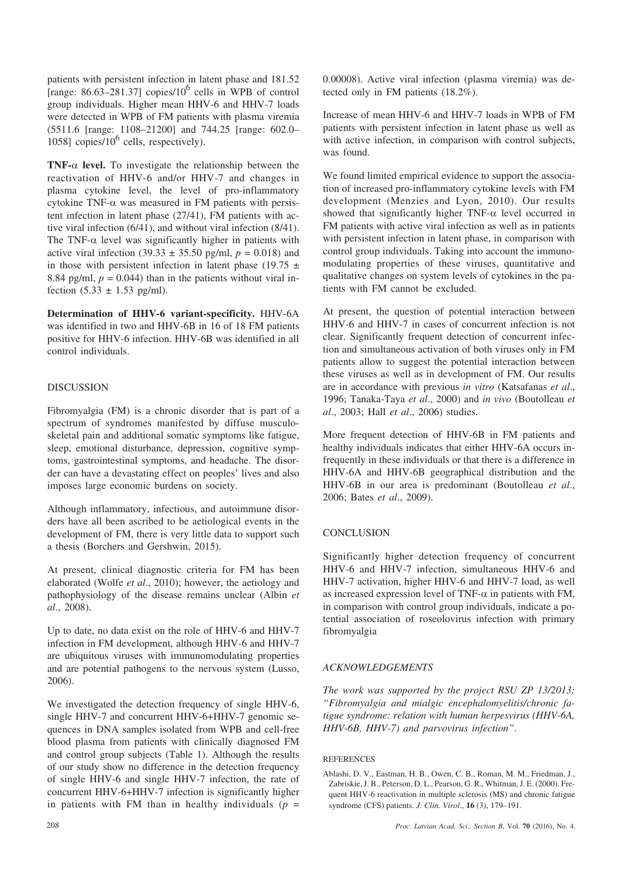patients with persistent infection in latent phase and 181.52 [range:  $86.63-281.37$ ] copies/10<sup>6</sup> cells in WPB of control group individuals. Higher mean HHV-6 and HHV-7 loads were detected in WPB of FM patients with plasma viremia (5511.6 [range: 1108–21200] and 744.25 [range: 602.0– 1058] copies/10<sup>6</sup> cells, respectively).

**TNF-** $\alpha$  **level.** To investigate the relationship between the reactivation of HHV-6 and/or HHV-7 and changes in plasma cytokine level, the level of pro-inflammatory cytokine TNF- $\alpha$  was measured in FM patients with persistent infection in latent phase (27/41), FM patients with active viral infection (6/41), and without viral infection (8/41). The TNF- $\alpha$  level was significantly higher in patients with active viral infection (39.33  $\pm$  35.50 pg/ml,  $p = 0.018$ ) and in those with persistent infection in latent phase (19.75  $\pm$ 8.84 pg/ml,  $p = 0.044$ ) than in the patients without viral infection  $(5.33 \pm 1.53 \text{ pg/ml})$ .

**Determination of HHV-6 variant-specificity.** HHV-6A was identified in two and HHV-6B in 16 of 18 FM patients positive for HHV-6 infection. HHV-6B was identified in all control individuals.

## DISCUSSION

Fibromyalgia (FM) is a chronic disorder that is part of a spectrum of syndromes manifested by diffuse musculoskeletal pain and additional somatic symptoms like fatigue, sleep, emotional disturbance, depression, cognitive symptoms, gastrointestinal symptoms, and headache. The disorder can have a devastating effect on peoples' lives and also imposes large economic burdens on society.

Although inflammatory, infectious, and autoimmune disorders have all been ascribed to be aetiological events in the development of FM, there is very little data to support such a thesis (Borchers and Gershwin, 2015).

At present, clinical diagnostic criteria for FM has been elaborated (Wolfe *et al*., 2010); however, the aetiology and pathophysiology of the disease remains unclear (Albin *et al*., 2008).

Up to date, no data exist on the role of HHV-6 and HHV-7 infection in FM development, although HHV-6 and HHV-7 are ubiquitous viruses with immunomodulating properties and are potential pathogens to the nervous system (Lusso, 2006).

We investigated the detection frequency of single HHV-6, single HHV-7 and concurrent HHV-6+HHV-7 genomic sequences in DNA samples isolated from WPB and cell-free blood plasma from patients with clinically diagnosed FM and control group subjects (Table 1). Although the results of our study show no difference in the detection frequency of single HHV-6 and single HHV-7 infection, the rate of concurrent HHV-6+HHV-7 infection is significantly higher in patients with FM than in healthy individuals  $(p =$ 

0.00008). Active viral infection (plasma viremia) was detected only in FM patients (18.2%).

Increase of mean HHV-6 and HHV-7 loads in WPB of FM patients with persistent infection in latent phase as well as with active infection, in comparison with control subjects, was found.

We found limited empirical evidence to support the association of increased pro-inflammatory cytokine levels with FM development (Menzies and Lyon, 2010). Our results showed that significantly higher TNF- $\alpha$  level occurred in FM patients with active viral infection as well as in patients with persistent infection in latent phase, in comparison with control group individuals. Taking into account the immunomodulating properties of these viruses, quantitative and qualitative changes on system levels of cytokines in the patients with FM cannot be excluded.

At present, the question of potential interaction between HHV-6 and HHV-7 in cases of concurrent infection is not clear. Significantly frequent detection of concurrent infection and simultaneous activation of both viruses only in FM patients allow to suggest the potential interaction between these viruses as well as in development of FM. Our results are in accordance with previous *in vitro* (Katsafanas *et al*., 1996; Tanaka-Taya *et al*., 2000) and *in vivo* (Boutolleau *et al*., 2003; Hall *et al*., 2006) studies.

More frequent detection of HHV-6B in FM patients and healthy individuals indicates that either HHV-6A occurs infrequently in these individuals or that there is a difference in HHV-6A and HHV-6B geographical distribution and the HHV-6B in our area is predominant (Boutolleau *et al*., 2006; Bates *et al*., 2009).

### **CONCLUSION**

Significantly higher detection frequency of concurrent HHV-6 and HHV-7 infection, simultaneous HHV-6 and HHV-7 activation, higher HHV-6 and HHV-7 load, as well as increased expression level of TNF- $\alpha$  in patients with FM, in comparison with control group individuals, indicate a potential association of roseolovirus infection with primary fibromyalgia

# *ACKNOWLEDGEMENTS*

*The work was supported by the project RSU ZP 13/2013: "Fibromyalgia and mialgic encephalomyelitis/chronic fatigue syndrome: relation with human herpesvirus (HHV-6A, HHV-6B, HHV-7) and parvovirus infection"*.

### **REFERENCES**

Ablashi, D. V., Eastman, H. B., Owen, C. B., Roman, M. M., Friedman, J., Zabriskie, J. B., Peterson, D. L., Pearson, G. R., Whitman, J. E. (2000). Frequent HHV-6 reactivation in multiple sclerosis (MS) and chronic fatigue syndrome (CFS) patients. *J. Clin. Virol*., **16** (3), 179–191.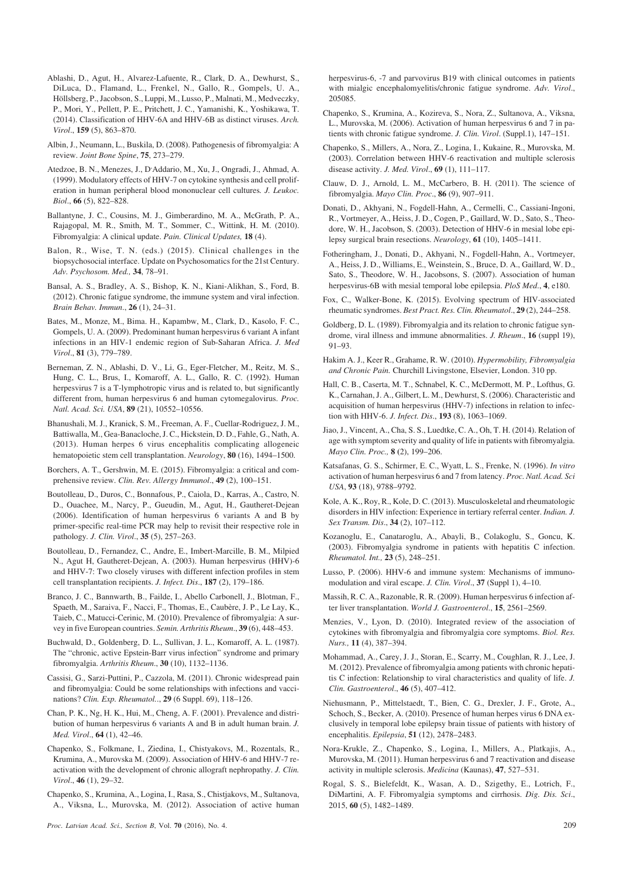- Ablashi, D., Agut, H., Alvarez-Lafuente, R., Clark, D. A., Dewhurst, S., DiLuca, D., Flamand, L., Frenkel, N., Gallo, R., Gompels, U. A., Höllsberg, P., Jacobson, S., Luppi, M., Lusso, P., Malnati, M., Medveczky, P., Mori, Y., Pellett, P. E., Pritchett, J. C., Yamanishi, K., Yoshikawa, T. (2014). Classification of HHV-6A and HHV-6B as distinct viruses. *Arch. Virol*., **159** (5), 863–870.
- Albin, J., Neumann, L., Buskila, D. (2008). Pathogenesis of fibromyalgia: A review. *Joint Bone Spine*, **75**, 273–279.
- Atedzoe, B. N., Menezes, J., D, Addario, M., Xu, J., Ongradi, J., Ahmad, A. (1999). Modulatory effects of HHV-7 on cytokine synthesis and cell proliferation in human peripheral blood mononuclear cell cultures*. J. Leukoc. Biol*., **66** (5), 822–828.
- Ballantyne, J. C., Cousins, M. J., Gimberardino, M. A., McGrath, P. A., Rajagopal, M. R., Smith, M. T., Sommer, C., Wittink, H. M. (2010). Fibromyalgia: A clinical update. *Pain. Clinical Updates,* **18** (4).
- Balon, R., Wise, T. N. (eds.) (2015). Clinical challenges in the biopsychosocial interface. Update on Psychosomatics for the 21st Century. *Adv. Psychosom. Med.,* **34**, 78–91.
- Bansal, A. S., Bradley, A. S., Bishop, K. N., Kiani-Alikhan, S., Ford, B. (2012). Chronic fatigue syndrome, the immune system and viral infection. *Brain Behav. Immun*., **26** (1), 24–31.
- Bates, M., Monze, M., Bima. H., Kapambw, M., Clark, D., Kasolo, F. C., Gompels, U. A. (2009). Predominant human herpesvirus 6 variant A infant infections in an HIV-1 endemic region of Sub-Saharan Africa. *J. Med Virol*., **81** (3), 779–789.
- Berneman, Z. N., Ablashi, D. V., Li, G., Eger-Fletcher, M., Reitz, M. S., Hung, C. L., Brus, I., Komaroff, A. L., Gallo, R. C. (1992). Human herpesvirus 7 is a T-lymphotropic virus and is related to, but significantly different from, human herpesvirus 6 and human cytomegalovirus. *Proc. Natl. Acad. Sci. USA*, **89** (21), 10552–10556.
- Bhanushali, M. J., Kranick, S. M., Freeman, A. F., Cuellar-Rodriguez, J. M., Battiwalla, M., Gea-Banacloche, J. C., Hickstein, D. D., Fahle, G., Nath, A. (2013). Human herpes 6 virus encephalitis complicating allogeneic hematopoietic stem cell transplantation. *Neurology*, **80** (16), 1494–1500.
- Borchers, A. T., Gershwin, M. E. (2015). Fibromyalgia: a critical and comprehensive review. *Clin. Rev. Allergy Immunol*., **49** (2), 100–151.
- Boutolleau, D., Duros, C., Bonnafous, P., Caiola, D., Karras, A., Castro, N. D., Ouachee, M., Narcy, P., Gueudin, M., Agut, H., Gautheret-Dejean (2006). Identification of human herpesvirus 6 variants A and B by primer-specific real-time PCR may help to revisit their respective role in pathology*. J. Clin. Virol*., **35** (5), 257–263.
- Boutolleau, D., Fernandez, C., Andre, E., Imbert-Marcille, B. M., Milpied N., Agut H, Gautheret-Dejean, A. (2003). Human herpesvirus (HHV)-6 and HHV-7: Two closely viruses with different infection profiles in stem cell transplantation recipients. *J. Infect. Dis*., **187** (2), 179–186.
- Branco, J. C., Bannwarth, B., Failde, I., Abello Carbonell, J., Blotman, F., Spaeth, M., Saraiva, F., Nacci, F., Thomas, E., Caubère, J. P., Le Lay, K., Taieb, C., Matucci-Cerinic, M. (2010). Prevalence of fibromyalgia: A survey in five European countries. *Semin. Arthritis Rheum*., **39** (6), 448–453.
- Buchwald, D., Goldenberg, D. L., Sullivan, J. L., Komaroff, A. L. (1987). The "chronic, active Epstein-Barr virus infection" syndrome and primary fibromyalgia. *Arthritis Rheum*., **30** (10), 1132–1136.
- Cassisi, G., Sarzi-Puttini, P., Cazzola, M. (2011). Chronic widespread pain and fibromyalgia: Could be some relationships with infections and vaccinations? *Clin. Exp. Rheumatol.*., **29** (6 Suppl. 69), 118–126.
- Chan, P. K., Ng, H. K., Hui, M., Cheng, A. F. (2001). Prevalence and distribution of human herpesvirus 6 variants A and B in adult human brain. *J. Med. Virol*., **64** (1), 42–46.
- Chapenko, S., Folkmane, I., Ziedina, I., Chistyakovs, M., Rozentals, R., Krumina, A., Murovska M. (2009). Association of HHV-6 and HHV-7 reactivation with the development of chronic allograft nephropathy. *J. Clin. Virol*., **46** (1), 29–32.
- Chapenko, S., Krumina, A., Logina, I., Rasa, S., Chistjakovs, M., Sultanova, A., Viksna, L., Murovska, M. (2012). Association of active human

herpesvirus-6, -7 and parvovirus B19 with clinical outcomes in patients with mialgic encephalomyelitis/chronic fatigue syndrome. *Adv. Virol*., 205085.

- Chapenko, S., Krumina, A., Kozireva, S., Nora, Z., Sultanova, A., Viksna, L., Murovska, M. (2006). Activation of human herpesvirus 6 and 7 in patients with chronic fatigue syndrome. *J. Clin. Virol*. (Suppl.1), 147–151.
- Chapenko, S., Millers, A., Nora, Z., Logina, I., Kukaine, R., Murovska, M. (2003). Correlation between HHV-6 reactivation and multiple sclerosis disease activity. *J. Med. Virol*., **69** (1), 111–117.
- Clauw, D. J., Arnold, L. M., McCarbero, B. H. (2011). The science of fibromyalgia. *Mayo Clin. Proc*., **86** (9), 907–911.
- Donati, D., Akhyani, N., Fogdell-Hahn, A., Cermelli, C., Cassiani-Ingoni, R., Vortmeyer, A., Heiss, J. D., Cogen, P., Gaillard, W. D., Sato, S., Theodore, W. H., Jacobson, S. (2003). Detection of HHV-6 in mesial lobe epilepsy surgical brain resections. *Neurology*, **61** (10), 1405–1411.
- Fotheringham, J., Donati, D., Akhyani, N., Fogdell-Hahn, A., Vortmeyer, A., Heiss, J. D., Williams, E., Weinstein, S., Bruce, D. A., Gaillard, W. D., Sato, S., Theodore, W. H., Jacobsons, S. (2007). Association of human herpesvirus-6B with mesial temporal lobe epilepsia. *PloS Med*., **4**, e180.
- Fox, C., Walker-Bone, K. (2015). Evolving spectrum of HIV-associated rheumatic syndromes. *Best Pract. Res. Clin. Rheumatol*., **29** (2), 244–258.
- Goldberg, D. L. (1989). Fibromyalgia and its relation to chronic fatigue syndrome, viral illness and immune abnormalities. *J. Rheum*., **16** (suppl 19), 91–93.
- Hakim A. J., Keer R., Grahame, R. W. (2010). *Hypermobility, Fibromyalgia and Chronic Pain.* Churchill Livingstone, Elsevier, London. 310 pp.
- Hall, C. B., Caserta, M. T., Schnabel, K. C., McDermott, M. P., Lofthus, G. K., Carnahan, J. A., Gilbert, L. M., Dewhurst, S. (2006). Characteristic and acquisition of human herpesvirus (HHV-7) infections in relation to infection with HHV-6. *J. Infect. Dis*., **193** (8), 1063–1069.
- Jiao, J., Vincent, A., Cha, S. S., Luedtke, C. A., Oh, T. H. (2014). Relation of age with symptom severity and quality of life in patients with fibromyalgia. *Mayo Clin. Proc.,* **8 (**2), 199–206.
- Katsafanas, G. S., Schirmer, E. C., Wyatt, L. S., Frenke, N. (1996). *In vitro* activation of human herpesvirus 6 and 7 from latency. *Proc. Natl. Acad. Sci USA*, **93** (18), 9788–9792.
- Kole, A. K., Roy, R., Kole, D. C. (2013). Musculoskeletal and rheumatologic disorders in HIV infection: Experience in tertiary referral center. *Indian. J. Sex Transm. Dis*., **34** (2), 107–112.
- Kozanoglu, E., Canataroglu, A., Abayli, B., Colakoglu, S., Goncu, K. (2003). Fibromyalgia syndrome in patients with hepatitis C infection. *Rheumatol. Int.,* **23** (5), 248–251.
- Lusso, P. (2006). HHV-6 and immune system: Mechanisms of immunomodulation and viral escape. *J. Clin. Virol*., **37** (Suppl 1), 4–10.
- Massih, R. C. A., Razonable, R. R. (2009). Human herpesvirus 6 infection after liver transplantation. *World J. Gastroenterol*., **15**, 2561–2569.
- Menzies, V., Lyon, D. (2010). Integrated review of the association of cytokines with fibromyalgia and fibromyalgia core symptoms. *Biol. Res. Nurs.,* **11** (4), 387–394.
- Mohammad, A., Carey, J. J., Storan, E., Scarry, M., Coughlan, R. J., Lee, J. M. (2012). Prevalence of fibromyalgia among patients with chronic hepatitis C infection: Relationship to viral characteristics and quality of life. *J. Clin. Gastroenterol*., **46** (5), 407–412.
- Niehusmann, P., Mittelstaedt, T., Bien, C. G., Drexler, J. F., Grote, A., Schoch, S., Becker, A. (2010). Presence of human herpes virus 6 DNA exclusively in temporal lobe epilepsy brain tissue of patients with history of encephalitis. *Epilepsia*, **51** (12), 2478–2483.
- Nora-Krukle, Z., Chapenko, S., Logina, I., Millers, A., Platkajis, A., Murovska, M. (2011). Human herpesvirus 6 and 7 reactivation and disease activity in multiple sclerosis. *Medicina* (Kaunas), **47**, 527–531.
- Rogal, S. S., Bielefeldt, K., Wasan, A. D., Szigethy, E., Lotrich, F., DiMartini, A. F. Fibromyalgia symptoms and cirrhosis. *Dig. Dis. Sci*., 2015, **60** (5), 1482–1489.